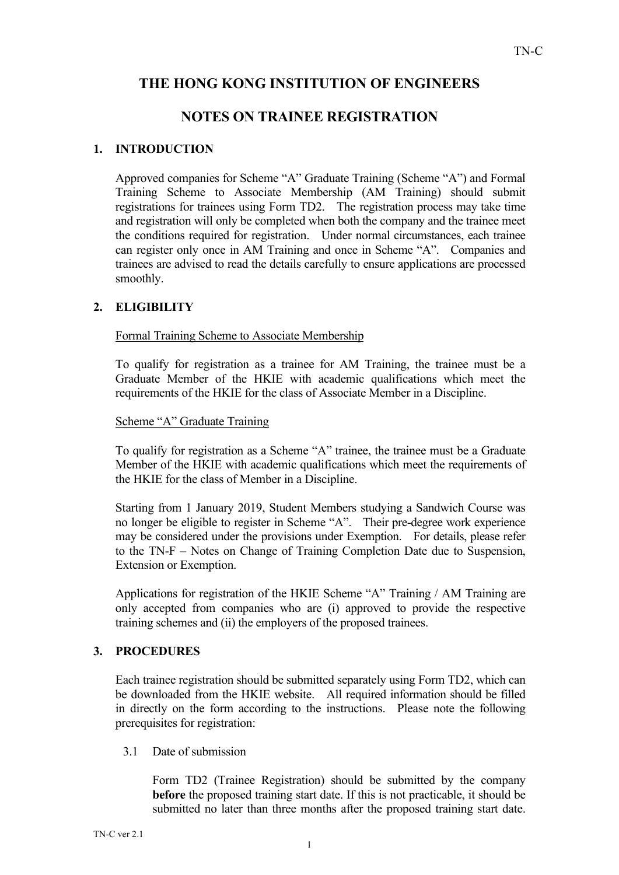# THE HONG KONG INSTITUTION OF ENGINEERS

## NOTES ON TRAINEE REGISTRATION

## 1. INTRODUCTION

Approved companies for Scheme "A" Graduate Training (Scheme "A") and Formal Training Scheme to Associate Membership (AM Training) should submit registrations for trainees using Form TD2. The registration process may take time and registration will only be completed when both the company and the trainee meet the conditions required for registration. Under normal circumstances, each trainee can register only once in AM Training and once in Scheme "A". Companies and trainees are advised to read the details carefully to ensure applications are processed smoothly.

### 2. ELIGIBILITY

Formal Training Scheme to Associate Membership

To qualify for registration as a trainee for AM Training, the trainee must be a Graduate Member of the HKIE with academic qualifications which meet the requirements of the HKIE for the class of Associate Member in a Discipline.

#### Scheme "A" Graduate Training

To qualify for registration as a Scheme "A" trainee, the trainee must be a Graduate Member of the HKIE with academic qualifications which meet the requirements of the HKIE for the class of Member in a Discipline.

Starting from 1 January 2019, Student Members studying a Sandwich Course was no longer be eligible to register in Scheme "A". Their pre-degree work experience may be considered under the provisions under Exemption. For details, please refer to the TN-F – Notes on Change of Training Completion Date due to Suspension, Extension or Exemption.

Applications for registration of the HKIE Scheme "A" Training / AM Training are only accepted from companies who are (i) approved to provide the respective training schemes and (ii) the employers of the proposed trainees.

#### 3. PROCEDURES

Each trainee registration should be submitted separately using Form TD2, which can be downloaded from the HKIE website. All required information should be filled in directly on the form according to the instructions. Please note the following prerequisites for registration:

3.1 Date of submission

Form TD2 (Trainee Registration) should be submitted by the company before the proposed training start date. If this is not practicable, it should be submitted no later than three months after the proposed training start date.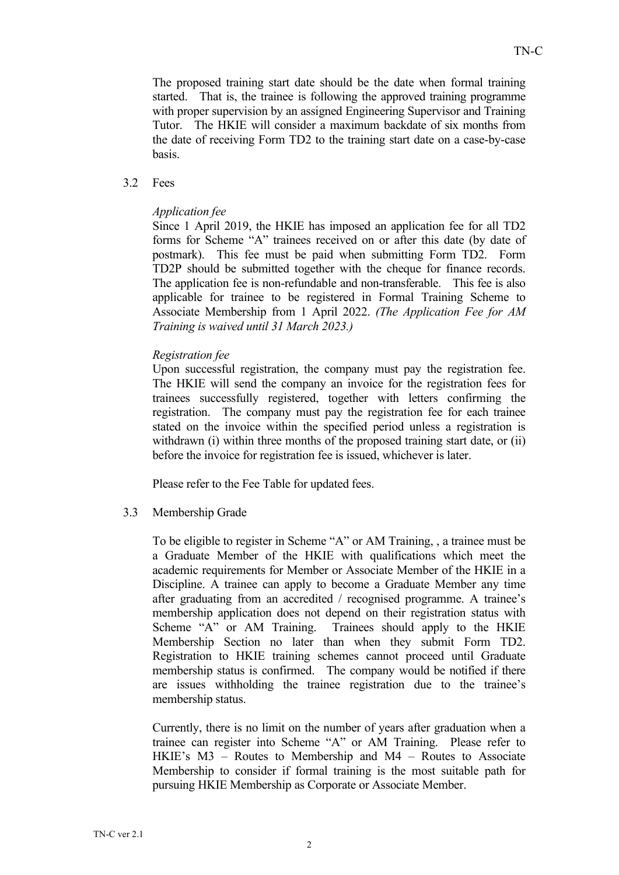The proposed training start date should be the date when formal training started. That is, the trainee is following the approved training programme with proper supervision by an assigned Engineering Supervisor and Training Tutor. The HKIE will consider a maximum backdate of six months from the date of receiving Form TD2 to the training start date on a case-by-case basis.

#### 3.2 Fees

#### Application fee

Since 1 April 2019, the HKIE has imposed an application fee for all TD2 forms for Scheme "A" trainees received on or after this date (by date of postmark). This fee must be paid when submitting Form TD2. Form TD2P should be submitted together with the cheque for finance records. The application fee is non-refundable and non-transferable. This fee is also applicable for trainee to be registered in Formal Training Scheme to Associate Membership from 1 April 2022. (The Application Fee for AM Training is waived until 31 March 2023.)

#### Registration fee

Upon successful registration, the company must pay the registration fee. The HKIE will send the company an invoice for the registration fees for trainees successfully registered, together with letters confirming the registration. The company must pay the registration fee for each trainee stated on the invoice within the specified period unless a registration is withdrawn (i) within three months of the proposed training start date, or (ii) before the invoice for registration fee is issued, whichever is later.

Please refer to the Fee Table for updated fees.

#### 3.3 Membership Grade

To be eligible to register in Scheme "A" or AM Training, , a trainee must be a Graduate Member of the HKIE with qualifications which meet the academic requirements for Member or Associate Member of the HKIE in a Discipline. A trainee can apply to become a Graduate Member any time after graduating from an accredited / recognised programme. A trainee's membership application does not depend on their registration status with Scheme "A" or AM Training. Trainees should apply to the HKIE Membership Section no later than when they submit Form TD2. Registration to HKIE training schemes cannot proceed until Graduate membership status is confirmed. The company would be notified if there are issues withholding the trainee registration due to the trainee's membership status.

Currently, there is no limit on the number of years after graduation when a trainee can register into Scheme "A" or AM Training. Please refer to HKIE's M3 – Routes to Membership and M4 – Routes to Associate Membership to consider if formal training is the most suitable path for pursuing HKIE Membership as Corporate or Associate Member.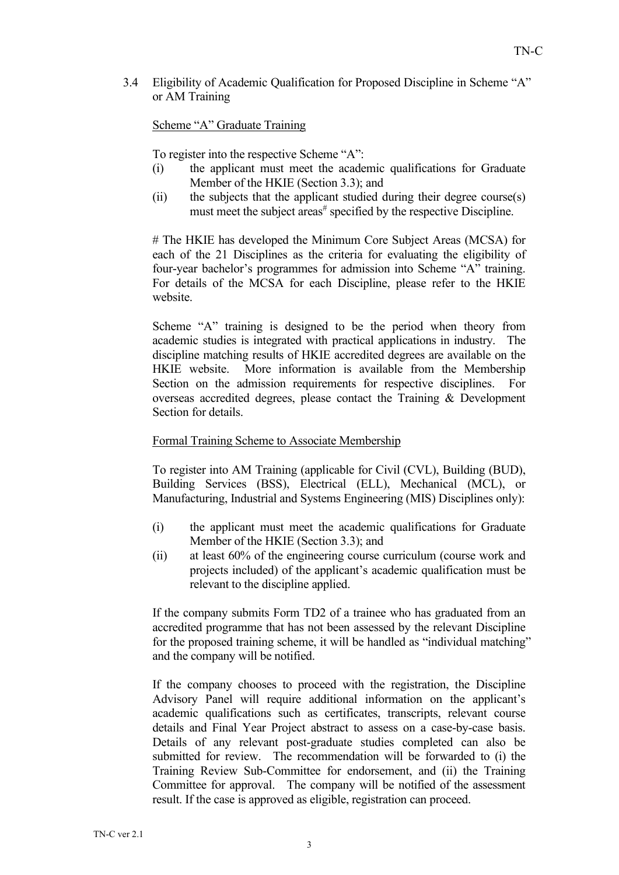3.4 Eligibility of Academic Qualification for Proposed Discipline in Scheme "A" or AM Training

### Scheme "A" Graduate Training

To register into the respective Scheme "A":

- (i) the applicant must meet the academic qualifications for Graduate Member of the HKIE (Section 3.3); and
- (ii) the subjects that the applicant studied during their degree course(s) must meet the subject areas<sup> $#$ </sup> specified by the respective Discipline.

# The HKIE has developed the Minimum Core Subject Areas (MCSA) for each of the 21 Disciplines as the criteria for evaluating the eligibility of four-year bachelor's programmes for admission into Scheme "A" training. For details of the MCSA for each Discipline, please refer to the HKIE website.

Scheme "A" training is designed to be the period when theory from academic studies is integrated with practical applications in industry. The discipline matching results of HKIE accredited degrees are available on the HKIE website. More information is available from the Membership Section on the admission requirements for respective disciplines. For overseas accredited degrees, please contact the Training & Development Section for details.

#### Formal Training Scheme to Associate Membership

To register into AM Training (applicable for Civil (CVL), Building (BUD), Building Services (BSS), Electrical (ELL), Mechanical (MCL), or Manufacturing, Industrial and Systems Engineering (MIS) Disciplines only):

- (i) the applicant must meet the academic qualifications for Graduate Member of the HKIE (Section 3.3); and
- (ii) at least 60% of the engineering course curriculum (course work and projects included) of the applicant's academic qualification must be relevant to the discipline applied.

If the company submits Form TD2 of a trainee who has graduated from an accredited programme that has not been assessed by the relevant Discipline for the proposed training scheme, it will be handled as "individual matching" and the company will be notified.

If the company chooses to proceed with the registration, the Discipline Advisory Panel will require additional information on the applicant's academic qualifications such as certificates, transcripts, relevant course details and Final Year Project abstract to assess on a case-by-case basis. Details of any relevant post-graduate studies completed can also be submitted for review. The recommendation will be forwarded to (i) the Training Review Sub-Committee for endorsement, and (ii) the Training Committee for approval. The company will be notified of the assessment result. If the case is approved as eligible, registration can proceed.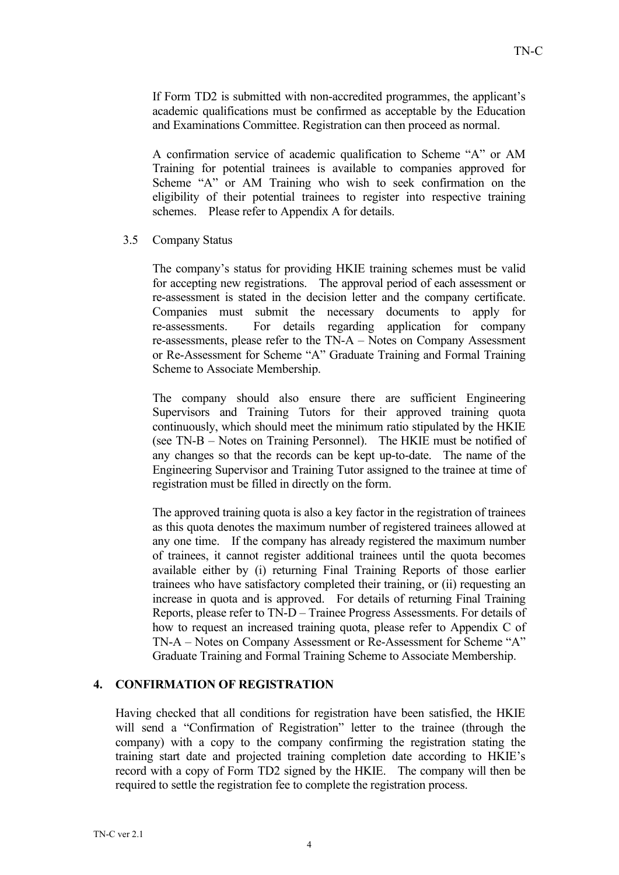If Form TD2 is submitted with non-accredited programmes, the applicant's academic qualifications must be confirmed as acceptable by the Education and Examinations Committee. Registration can then proceed as normal.

A confirmation service of academic qualification to Scheme "A" or AM Training for potential trainees is available to companies approved for Scheme "A" or AM Training who wish to seek confirmation on the eligibility of their potential trainees to register into respective training schemes. Please refer to Appendix A for details.

3.5 Company Status

The company's status for providing HKIE training schemes must be valid for accepting new registrations. The approval period of each assessment or re-assessment is stated in the decision letter and the company certificate. Companies must submit the necessary documents to apply for re-assessments. For details regarding application for company re-assessments, please refer to the TN-A – Notes on Company Assessment or Re-Assessment for Scheme "A" Graduate Training and Formal Training Scheme to Associate Membership.

The company should also ensure there are sufficient Engineering Supervisors and Training Tutors for their approved training quota continuously, which should meet the minimum ratio stipulated by the HKIE (see TN-B – Notes on Training Personnel). The HKIE must be notified of any changes so that the records can be kept up-to-date. The name of the Engineering Supervisor and Training Tutor assigned to the trainee at time of registration must be filled in directly on the form.

The approved training quota is also a key factor in the registration of trainees as this quota denotes the maximum number of registered trainees allowed at any one time. If the company has already registered the maximum number of trainees, it cannot register additional trainees until the quota becomes available either by (i) returning Final Training Reports of those earlier trainees who have satisfactory completed their training, or (ii) requesting an increase in quota and is approved. For details of returning Final Training Reports, please refer to TN-D – Trainee Progress Assessments. For details of how to request an increased training quota, please refer to Appendix C of TN-A – Notes on Company Assessment or Re-Assessment for Scheme "A" Graduate Training and Formal Training Scheme to Associate Membership.

#### 4. CONFIRMATION OF REGISTRATION

Having checked that all conditions for registration have been satisfied, the HKIE will send a "Confirmation of Registration" letter to the trainee (through the company) with a copy to the company confirming the registration stating the training start date and projected training completion date according to HKIE's record with a copy of Form TD2 signed by the HKIE. The company will then be required to settle the registration fee to complete the registration process.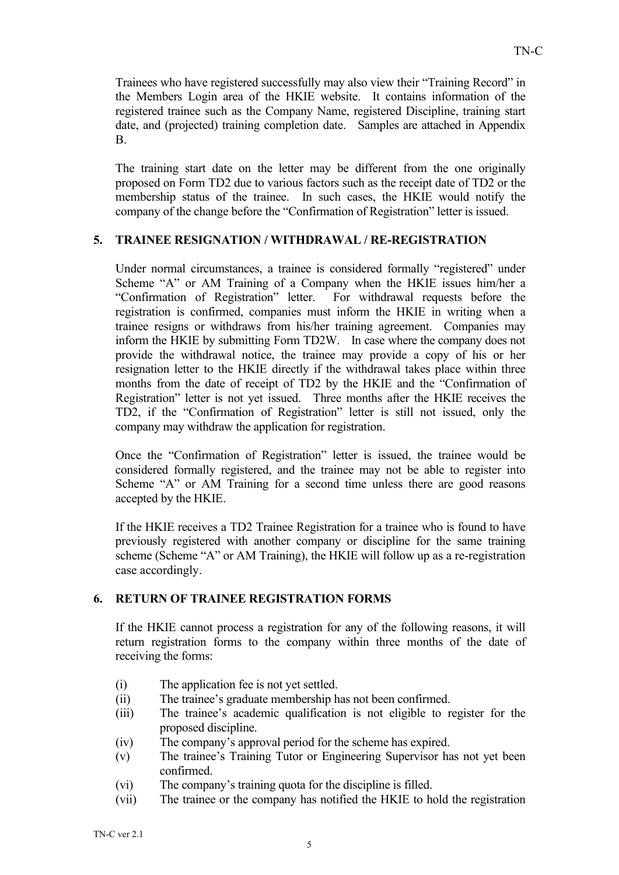Trainees who have registered successfully may also view their "Training Record" in the Members Login area of the HKIE website. It contains information of the registered trainee such as the Company Name, registered Discipline, training start date, and (projected) training completion date. Samples are attached in Appendix B.

The training start date on the letter may be different from the one originally proposed on Form TD2 due to various factors such as the receipt date of TD2 or the membership status of the trainee. In such cases, the HKIE would notify the company of the change before the "Confirmation of Registration" letter is issued.

### 5. TRAINEE RESIGNATION / WITHDRAWAL / RE-REGISTRATION

Under normal circumstances, a trainee is considered formally "registered" under Scheme "A" or AM Training of a Company when the HKIE issues him/her a "Confirmation of Registration" letter. For withdrawal requests before the registration is confirmed, companies must inform the HKIE in writing when a trainee resigns or withdraws from his/her training agreement. Companies may inform the HKIE by submitting Form TD2W. In case where the company does not provide the withdrawal notice, the trainee may provide a copy of his or her resignation letter to the HKIE directly if the withdrawal takes place within three months from the date of receipt of TD2 by the HKIE and the "Confirmation of Registration" letter is not yet issued. Three months after the HKIE receives the TD2, if the "Confirmation of Registration" letter is still not issued, only the company may withdraw the application for registration.

Once the "Confirmation of Registration" letter is issued, the trainee would be considered formally registered, and the trainee may not be able to register into Scheme "A" or AM Training for a second time unless there are good reasons accepted by the HKIE.

If the HKIE receives a TD2 Trainee Registration for a trainee who is found to have previously registered with another company or discipline for the same training scheme (Scheme "A" or AM Training), the HKIE will follow up as a re-registration case accordingly.

#### 6. RETURN OF TRAINEE REGISTRATION FORMS

If the HKIE cannot process a registration for any of the following reasons, it will return registration forms to the company within three months of the date of receiving the forms:

- (i) The application fee is not yet settled.
- (ii) The trainee's graduate membership has not been confirmed.
- (iii) The trainee's academic qualification is not eligible to register for the proposed discipline.
- (iv) The company's approval period for the scheme has expired.
- (v) The trainee's Training Tutor or Engineering Supervisor has not yet been confirmed.
- (vi) The company's training quota for the discipline is filled.
- (vii) The trainee or the company has notified the HKIE to hold the registration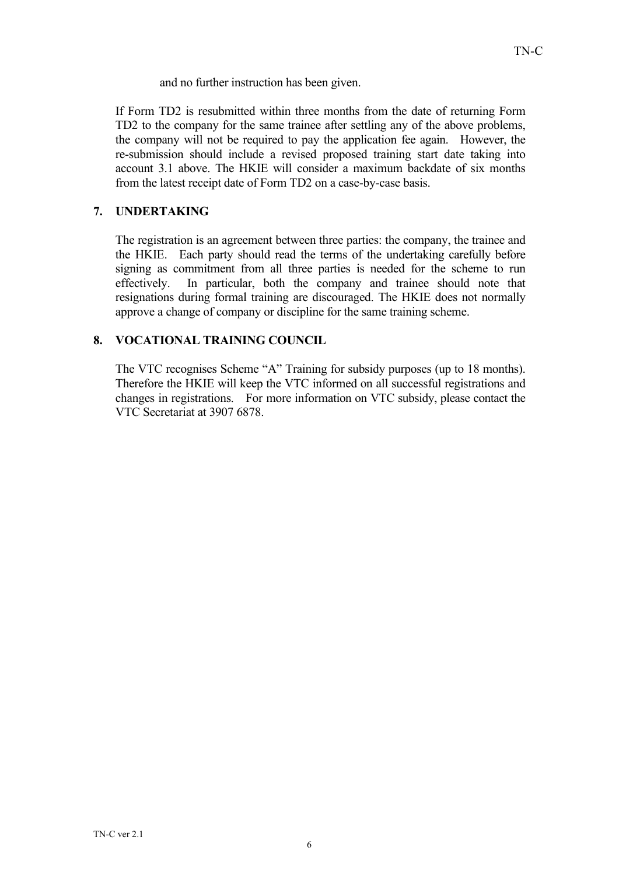and no further instruction has been given.

If Form TD2 is resubmitted within three months from the date of returning Form TD2 to the company for the same trainee after settling any of the above problems, the company will not be required to pay the application fee again. However, the re-submission should include a revised proposed training start date taking into account 3.1 above. The HKIE will consider a maximum backdate of six months from the latest receipt date of Form TD2 on a case-by-case basis.

## 7. UNDERTAKING

The registration is an agreement between three parties: the company, the trainee and the HKIE. Each party should read the terms of the undertaking carefully before signing as commitment from all three parties is needed for the scheme to run effectively. In particular, both the company and trainee should note that resignations during formal training are discouraged. The HKIE does not normally approve a change of company or discipline for the same training scheme.

## 8. VOCATIONAL TRAINING COUNCIL

The VTC recognises Scheme "A" Training for subsidy purposes (up to 18 months). Therefore the HKIE will keep the VTC informed on all successful registrations and changes in registrations. For more information on VTC subsidy, please contact the VTC Secretariat at 3907 6878.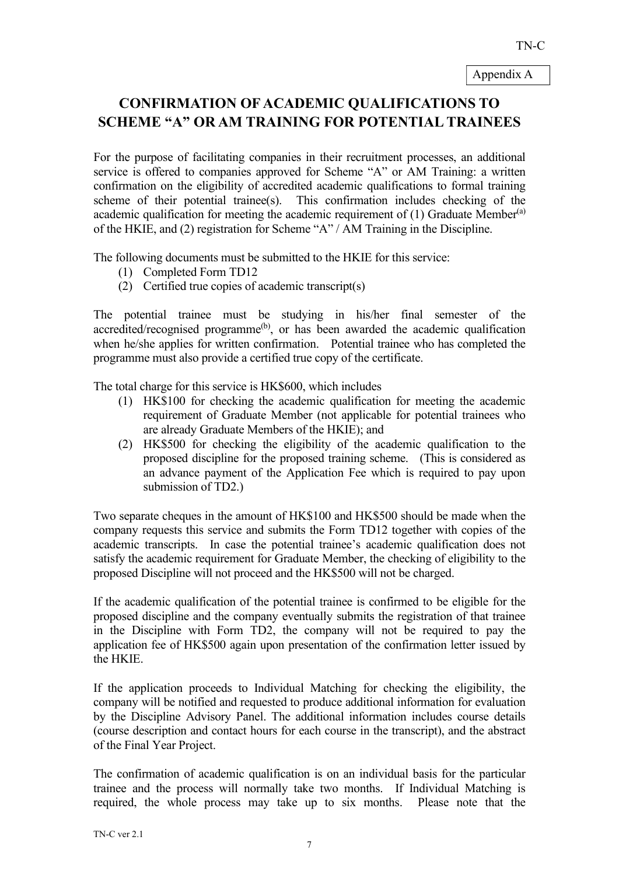# CONFIRMATION OF ACADEMIC QUALIFICATIONS TO SCHEME "A" OR AM TRAINING FOR POTENTIAL TRAINEES

For the purpose of facilitating companies in their recruitment processes, an additional service is offered to companies approved for Scheme "A" or AM Training: a written confirmation on the eligibility of accredited academic qualifications to formal training scheme of their potential trainee(s). This confirmation includes checking of the academic qualification for meeting the academic requirement of  $(1)$  Graduate Member<sup>(a)</sup> of the HKIE, and (2) registration for Scheme "A" / AM Training in the Discipline.

The following documents must be submitted to the HKIE for this service:

- (1) Completed Form TD12
- (2) Certified true copies of academic transcript(s)

The potential trainee must be studying in his/her final semester of the accredited/recognised programme<sup>(b)</sup>, or has been awarded the academic qualification when he/she applies for written confirmation. Potential trainee who has completed the programme must also provide a certified true copy of the certificate.

The total charge for this service is HK\$600, which includes

- (1) HK\$100 for checking the academic qualification for meeting the academic requirement of Graduate Member (not applicable for potential trainees who are already Graduate Members of the HKIE); and
- (2) HK\$500 for checking the eligibility of the academic qualification to the proposed discipline for the proposed training scheme. (This is considered as an advance payment of the Application Fee which is required to pay upon submission of TD2.)

Two separate cheques in the amount of HK\$100 and HK\$500 should be made when the company requests this service and submits the Form TD12 together with copies of the academic transcripts. In case the potential trainee's academic qualification does not satisfy the academic requirement for Graduate Member, the checking of eligibility to the proposed Discipline will not proceed and the HK\$500 will not be charged.

If the academic qualification of the potential trainee is confirmed to be eligible for the proposed discipline and the company eventually submits the registration of that trainee in the Discipline with Form TD2, the company will not be required to pay the application fee of HK\$500 again upon presentation of the confirmation letter issued by the HKIE.

If the application proceeds to Individual Matching for checking the eligibility, the company will be notified and requested to produce additional information for evaluation by the Discipline Advisory Panel. The additional information includes course details (course description and contact hours for each course in the transcript), and the abstract of the Final Year Project.

The confirmation of academic qualification is on an individual basis for the particular trainee and the process will normally take two months. If Individual Matching is required, the whole process may take up to six months. Please note that the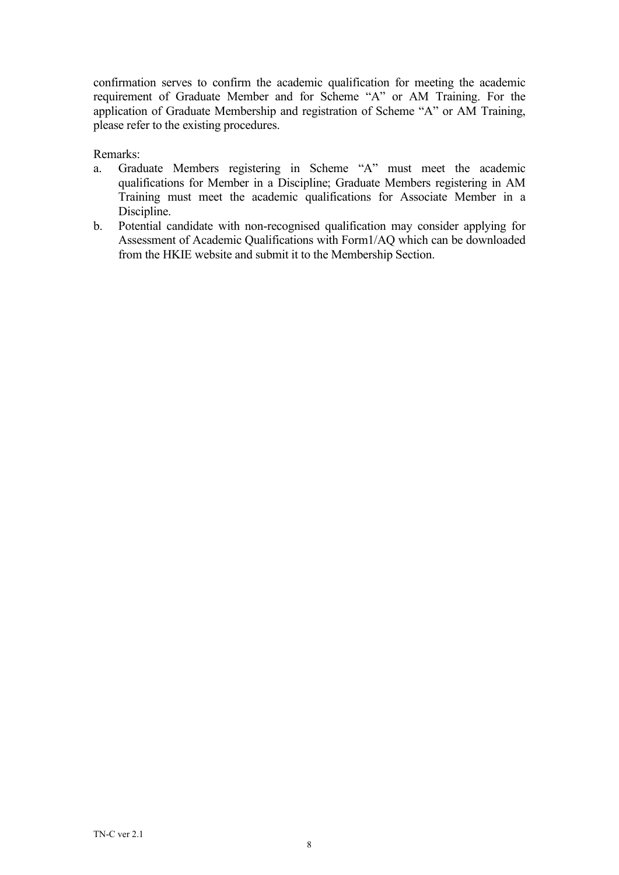confirmation serves to confirm the academic qualification for meeting the academic requirement of Graduate Member and for Scheme "A" or AM Training. For the application of Graduate Membership and registration of Scheme "A" or AM Training, please refer to the existing procedures.

Remarks:

- a. Graduate Members registering in Scheme "A" must meet the academic qualifications for Member in a Discipline; Graduate Members registering in AM Training must meet the academic qualifications for Associate Member in a Discipline.
- b. Potential candidate with non-recognised qualification may consider applying for Assessment of Academic Qualifications with Form1/AQ which can be downloaded from the HKIE website and submit it to the Membership Section.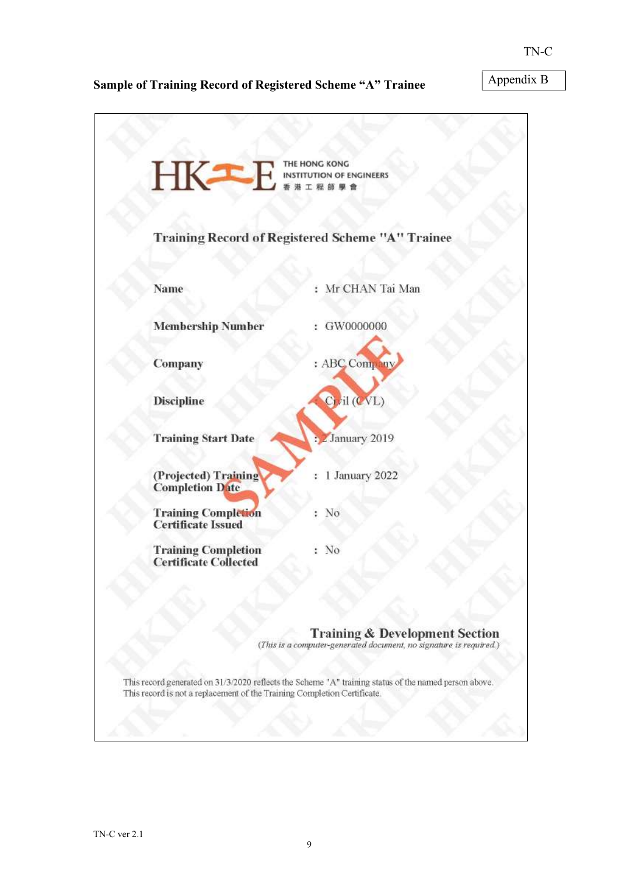## Sample of Training Record of Registered Scheme "A" Trainee

Appendix B